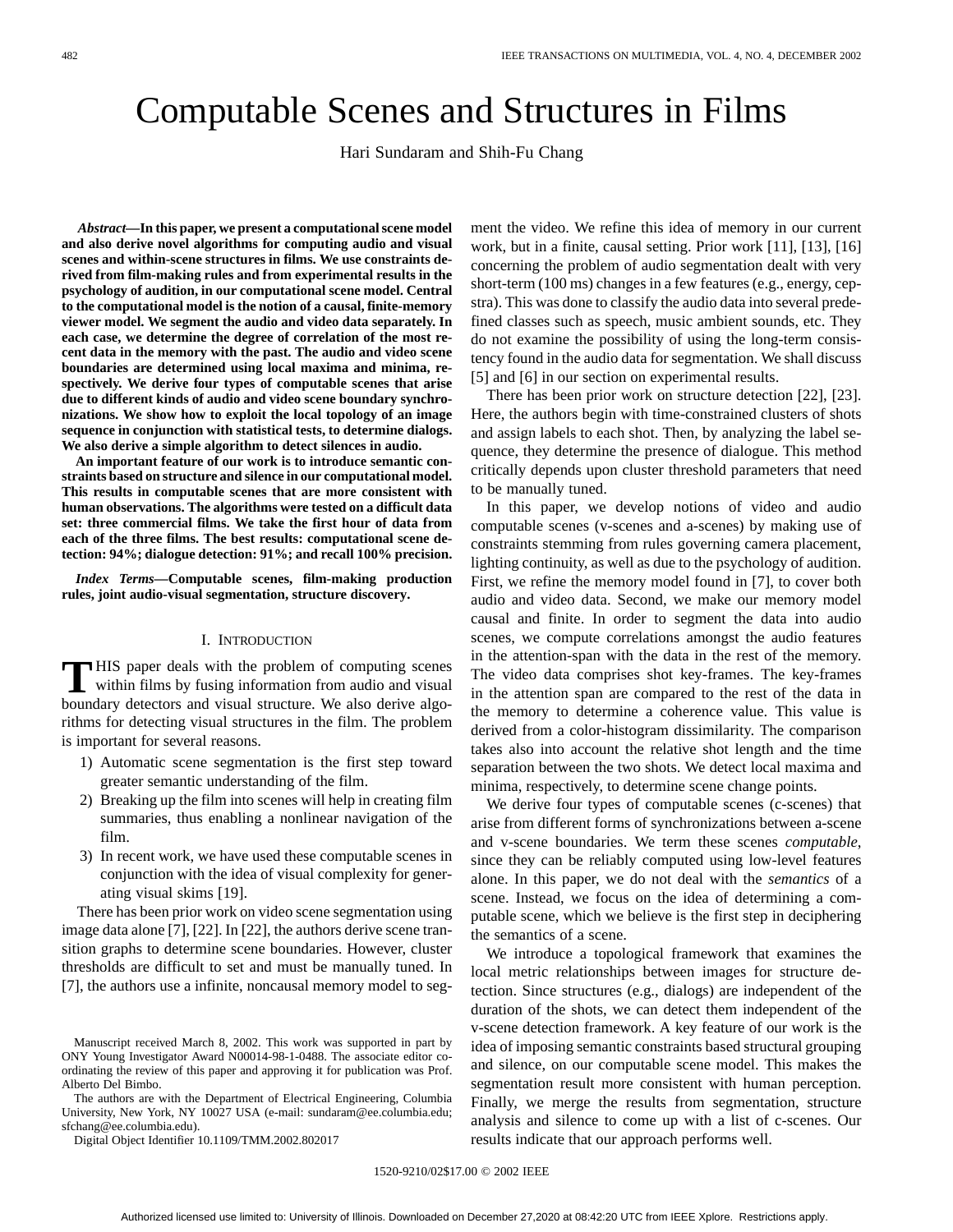# Computable Scenes and Structures in Films

Hari Sundaram and Shih-Fu Chang

*Abstract—***In this paper, we present a computational scene model and also derive novel algorithms for computing audio and visual scenes and within-scene structures in films. We use constraints derived from film-making rules and from experimental results in the psychology of audition, in our computational scene model. Central to the computational model is the notion of a causal, finite-memory viewer model. We segment the audio and video data separately. In each case, we determine the degree of correlation of the most recent data in the memory with the past. The audio and video scene boundaries are determined using local maxima and minima, respectively. We derive four types of computable scenes that arise due to different kinds of audio and video scene boundary synchronizations. We show how to exploit the local topology of an image sequence in conjunction with statistical tests, to determine dialogs. We also derive a simple algorithm to detect silences in audio.**

**An important feature of our work is to introduce semantic constraints based on structure and silence in our computational model. This results in computable scenes that are more consistent with human observations. The algorithms were tested on a difficult data set: three commercial films. We take the first hour of data from each of the three films. The best results: computational scene detection: 94%; dialogue detection: 91%; and recall 100% precision.**

*Index Terms—***Computable scenes, film-making production rules, joint audio-visual segmentation, structure discovery.**

## I. INTRODUCTION

**T** HIS paper deals with the problem of computing scenes within films by fusing information from audio and visual boundary detectors and visual structure. We also derive algorithms for detecting visual structures in the film. The problem is important for several reasons.

- 1) Automatic scene segmentation is the first step toward greater semantic understanding of the film.
- 2) Breaking up the film into scenes will help in creating film summaries, thus enabling a nonlinear navigation of the film.
- 3) In recent work, we have used these computable scenes in conjunction with the idea of visual complexity for generating visual skims [19].

There has been prior work on video scene segmentation using image data alone [7], [22]. In [22], the authors derive scene transition graphs to determine scene boundaries. However, cluster thresholds are difficult to set and must be manually tuned. In [7], the authors use a infinite, noncausal memory model to seg-

The authors are with the Department of Electrical Engineering, Columbia University, New York, NY 10027 USA (e-mail: sundaram@ee.columbia.edu; sfchang@ee.columbia.edu).

Digital Object Identifier 10.1109/TMM.2002.802017

ment the video. We refine this idea of memory in our current work, but in a finite, causal setting. Prior work [11], [13], [16] concerning the problem of audio segmentation dealt with very short-term (100 ms) changes in a few features (e.g., energy, cepstra). This was done to classify the audio data into several predefined classes such as speech, music ambient sounds, etc. They do not examine the possibility of using the long-term consistency found in the audio data for segmentation. We shall discuss [5] and [6] in our section on experimental results.

There has been prior work on structure detection [22], [23]. Here, the authors begin with time-constrained clusters of shots and assign labels to each shot. Then, by analyzing the label sequence, they determine the presence of dialogue. This method critically depends upon cluster threshold parameters that need to be manually tuned.

In this paper, we develop notions of video and audio computable scenes (v-scenes and a-scenes) by making use of constraints stemming from rules governing camera placement, lighting continuity, as well as due to the psychology of audition. First, we refine the memory model found in [7], to cover both audio and video data. Second, we make our memory model causal and finite. In order to segment the data into audio scenes, we compute correlations amongst the audio features in the attention-span with the data in the rest of the memory. The video data comprises shot key-frames. The key-frames in the attention span are compared to the rest of the data in the memory to determine a coherence value. This value is derived from a color-histogram dissimilarity. The comparison takes also into account the relative shot length and the time separation between the two shots. We detect local maxima and minima, respectively, to determine scene change points.

We derive four types of computable scenes (c-scenes) that arise from different forms of synchronizations between a-scene and v-scene boundaries. We term these scenes *computable*, since they can be reliably computed using low-level features alone. In this paper, we do not deal with the *semantics* of a scene. Instead, we focus on the idea of determining a computable scene, which we believe is the first step in deciphering the semantics of a scene.

We introduce a topological framework that examines the local metric relationships between images for structure detection. Since structures (e.g., dialogs) are independent of the duration of the shots, we can detect them independent of the v-scene detection framework. A key feature of our work is the idea of imposing semantic constraints based structural grouping and silence, on our computable scene model. This makes the segmentation result more consistent with human perception. Finally, we merge the results from segmentation, structure analysis and silence to come up with a list of c-scenes. Our results indicate that our approach performs well.

Manuscript received March 8, 2002. This work was supported in part by ONY Young Investigator Award N00014-98-1-0488. The associate editor coordinating the review of this paper and approving it for publication was Prof. Alberto Del Bimbo.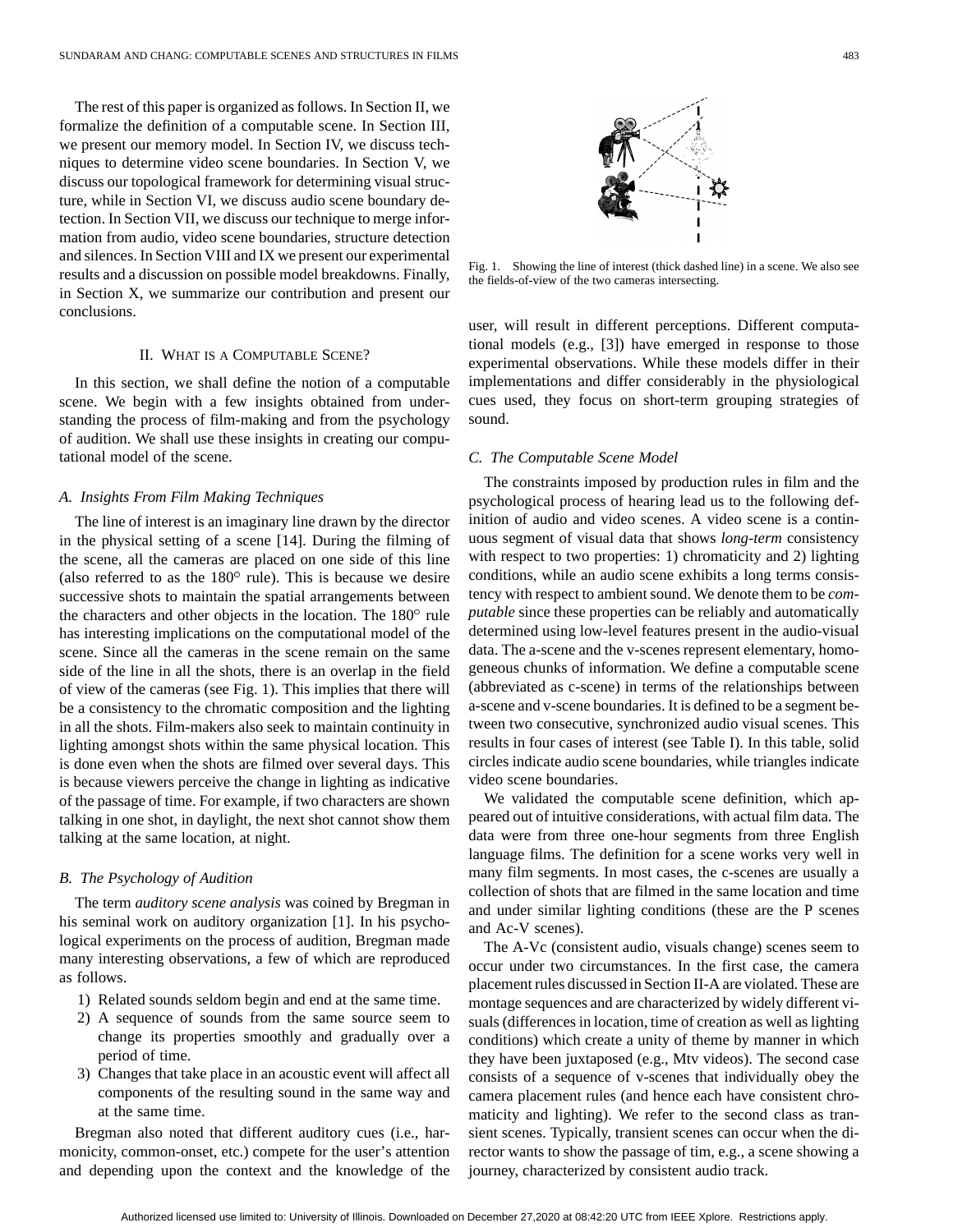The rest of this paper is organized as follows. In Section II, we formalize the definition of a computable scene. In Section III, we present our memory model. In Section IV, we discuss techniques to determine video scene boundaries. In Section V, we discuss our topological framework for determining visual structure, while in Section VI, we discuss audio scene boundary detection. In Section VII, we discuss our technique to merge information from audio, video scene boundaries, structure detection and silences. In Section VIII and IX we present our experimental results and a discussion on possible model breakdowns. Finally, in Section X, we summarize our contribution and present our conclusions.

## II. WHAT IS A COMPUTABLE SCENE?

In this section, we shall define the notion of a computable scene. We begin with a few insights obtained from understanding the process of film-making and from the psychology of audition. We shall use these insights in creating our computational model of the scene.

## *A. Insights From Film Making Techniques*

The line of interest is an imaginary line drawn by the director in the physical setting of a scene [14]. During the filming of the scene, all the cameras are placed on one side of this line (also referred to as the  $180^{\circ}$  rule). This is because we desire successive shots to maintain the spatial arrangements between the characters and other objects in the location. The  $180^\circ$  rule has interesting implications on the computational model of the scene. Since all the cameras in the scene remain on the same side of the line in all the shots, there is an overlap in the field of view of the cameras (see Fig. 1). This implies that there will be a consistency to the chromatic composition and the lighting in all the shots. Film-makers also seek to maintain continuity in lighting amongst shots within the same physical location. This is done even when the shots are filmed over several days. This is because viewers perceive the change in lighting as indicative of the passage of time. For example, if two characters are shown talking in one shot, in daylight, the next shot cannot show them talking at the same location, at night.

## *B. The Psychology of Audition*

The term *auditory scene analysis* was coined by Bregman in his seminal work on auditory organization [1]. In his psychological experiments on the process of audition, Bregman made many interesting observations, a few of which are reproduced as follows.

- 1) Related sounds seldom begin and end at the same time.
- 2) A sequence of sounds from the same source seem to change its properties smoothly and gradually over a period of time.
- 3) Changes that take place in an acoustic event will affect all components of the resulting sound in the same way and at the same time.

Bregman also noted that different auditory cues (i.e., harmonicity, common-onset, etc.) compete for the user's attention and depending upon the context and the knowledge of the



Fig. 1. Showing the line of interest (thick dashed line) in a scene. We also see the fields-of-view of the two cameras intersecting.

user, will result in different perceptions. Different computational models (e.g., [3]) have emerged in response to those experimental observations. While these models differ in their implementations and differ considerably in the physiological cues used, they focus on short-term grouping strategies of sound.

#### *C. The Computable Scene Model*

The constraints imposed by production rules in film and the psychological process of hearing lead us to the following definition of audio and video scenes. A video scene is a continuous segment of visual data that shows *long-term* consistency with respect to two properties: 1) chromaticity and 2) lighting conditions, while an audio scene exhibits a long terms consistency with respect to ambient sound. We denote them to be *computable* since these properties can be reliably and automatically determined using low-level features present in the audio-visual data. The a-scene and the v-scenes represent elementary, homogeneous chunks of information. We define a computable scene (abbreviated as c-scene) in terms of the relationships between a-scene and v-scene boundaries. It is defined to be a segment between two consecutive, synchronized audio visual scenes. This results in four cases of interest (see Table I). In this table, solid circles indicate audio scene boundaries, while triangles indicate video scene boundaries.

We validated the computable scene definition, which appeared out of intuitive considerations, with actual film data. The data were from three one-hour segments from three English language films. The definition for a scene works very well in many film segments. In most cases, the c-scenes are usually a collection of shots that are filmed in the same location and time and under similar lighting conditions (these are the P scenes and Ac-V scenes).

The A-Vc (consistent audio, visuals change) scenes seem to occur under two circumstances. In the first case, the camera placement rules discussed in Section II-A are violated. These are montage sequences and are characterized by widely different visuals (differences in location, time of creation as well as lighting conditions) which create a unity of theme by manner in which they have been juxtaposed (e.g., Mtv videos). The second case consists of a sequence of v-scenes that individually obey the camera placement rules (and hence each have consistent chromaticity and lighting). We refer to the second class as transient scenes. Typically, transient scenes can occur when the director wants to show the passage of tim, e.g., a scene showing a journey, characterized by consistent audio track.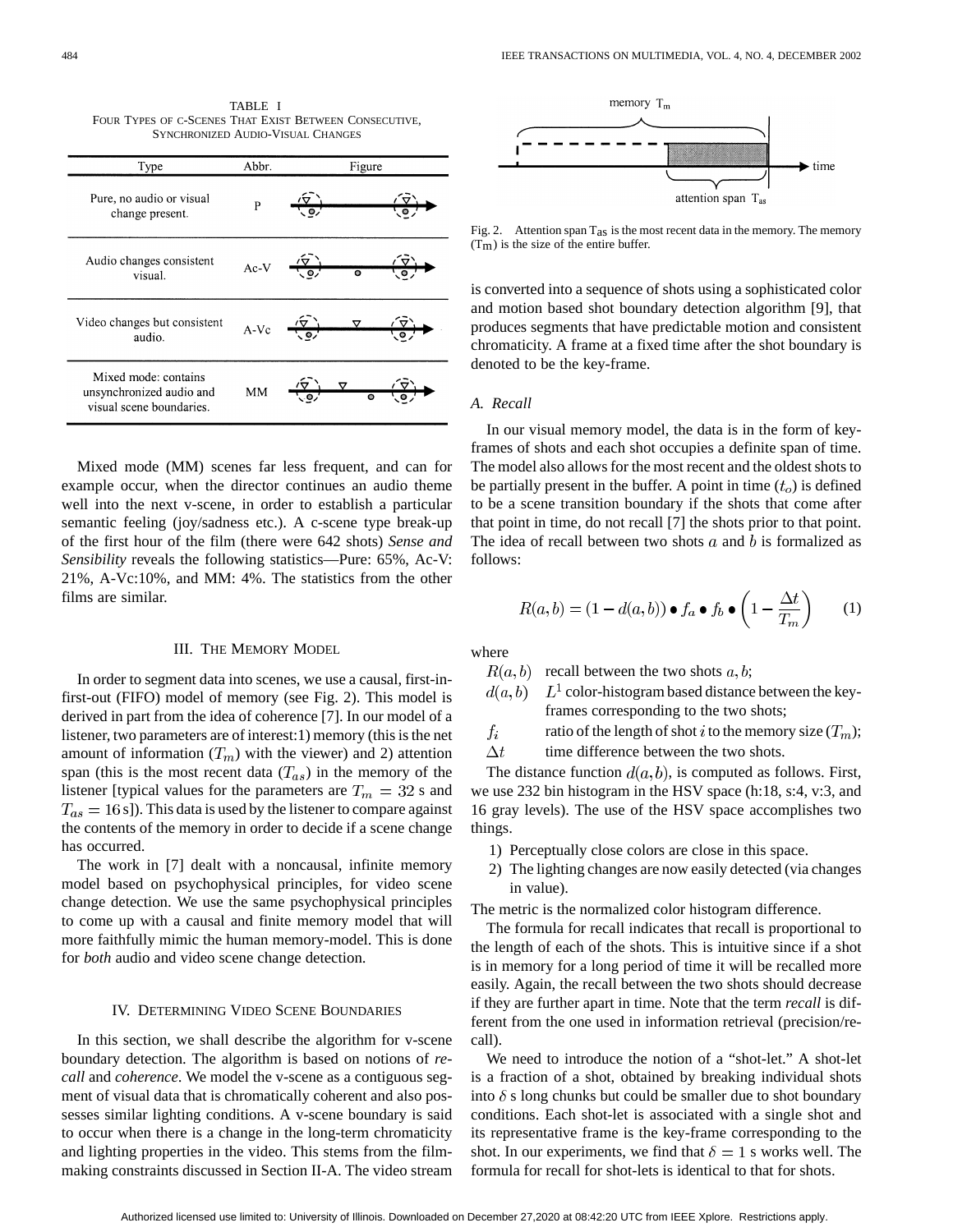| Type                                                                         | Abbr.  | Figure               |  |  |
|------------------------------------------------------------------------------|--------|----------------------|--|--|
| Pure, no audio or visual<br>change present.                                  | P      |                      |  |  |
| Audio changes consistent<br>visual.                                          | $Ac-V$ | $\overline{\bullet}$ |  |  |
| Video changes but consistent<br>audio.                                       | A-Vc   | €                    |  |  |
| Mixed mode: contains<br>unsynchronized audio and<br>visual scene boundaries. | MМ     | ᢦ<br>$\circ$         |  |  |

Mixed mode (MM) scenes far less frequent, and can for example occur, when the director continues an audio theme well into the next v-scene, in order to establish a particular semantic feeling (joy/sadness etc.). A c-scene type break-up of the first hour of the film (there were 642 shots) *Sense and Sensibility* reveals the following statistics—Pure: 65%, Ac-V: 21%, A-Vc:10%, and MM: 4%. The statistics from the other films are similar.

## III. THE MEMORY MODEL

In order to segment data into scenes, we use a causal, first-infirst-out (FIFO) model of memory (see Fig. 2). This model is derived in part from the idea of coherence [7]. In our model of a listener, two parameters are of interest:1) memory (this is the net amount of information  $(T_m)$  with the viewer) and 2) attention span (this is the most recent data  $(T_{as})$  in the memory of the listener [typical values for the parameters are  $T_m = 32$  s and  $T_{as} = 16$  s]). This data is used by the listener to compare against the contents of the memory in order to decide if a scene change has occurred.

The work in [7] dealt with a noncausal, infinite memory model based on psychophysical principles, for video scene change detection. We use the same psychophysical principles to come up with a causal and finite memory model that will more faithfully mimic the human memory-model. This is done for *both* audio and video scene change detection.

## IV. DETERMINING VIDEO SCENE BOUNDARIES

In this section, we shall describe the algorithm for v-scene boundary detection. The algorithm is based on notions of *recall* and *coherence*. We model the v-scene as a contiguous segment of visual data that is chromatically coherent and also possesses similar lighting conditions. A v-scene boundary is said to occur when there is a change in the long-term chromaticity and lighting properties in the video. This stems from the filmmaking constraints discussed in Section II-A. The video stream



Fig. 2. Attention span Tas is the most recent data in the memory. The memory  $(T<sub>m</sub>)$  is the size of the entire buffer.

is converted into a sequence of shots using a sophisticated color and motion based shot boundary detection algorithm [9], that produces segments that have predictable motion and consistent chromaticity. A frame at a fixed time after the shot boundary is denoted to be the key-frame.

## *A. Recall*

In our visual memory model, the data is in the form of keyframes of shots and each shot occupies a definite span of time. The model also allows for the most recent and the oldest shots to be partially present in the buffer. A point in time  $(t<sub>o</sub>)$  is defined to be a scene transition boundary if the shots that come after that point in time, do not recall [7] the shots prior to that point. The idea of recall between two shots  $a$  and  $b$  is formalized as follows:

$$
R(a,b) = (1 - d(a,b)) \bullet f_a \bullet f_b \bullet \left(1 - \frac{\Delta t}{T_m}\right) \tag{1}
$$

where

 $R(a,b)$ recall between the two shots  $a, b$ ;

 $L^1$  color-histogram based distance between the key $d(a,b)$ frames corresponding to the two shots;

$$
f_i
$$
 ratio of the length of shot *i* to the memory size  $(T_m)$ ;

 $\Delta t$ time difference between the two shots.

The distance function  $d(a, b)$ , is computed as follows. First, we use 232 bin histogram in the HSV space (h:18, s:4, v:3, and 16 gray levels). The use of the HSV space accomplishes two things.

- 1) Perceptually close colors are close in this space.
- 2) The lighting changes are now easily detected (via changes in value).

The metric is the normalized color histogram difference.

The formula for recall indicates that recall is proportional to the length of each of the shots. This is intuitive since if a shot is in memory for a long period of time it will be recalled more easily. Again, the recall between the two shots should decrease if they are further apart in time. Note that the term *recall* is different from the one used in information retrieval (precision/recall).

We need to introduce the notion of a "shot-let." A shot-let is a fraction of a shot, obtained by breaking individual shots into  $\delta$  s long chunks but could be smaller due to shot boundary conditions. Each shot-let is associated with a single shot and its representative frame is the key-frame corresponding to the shot. In our experiments, we find that  $\delta = 1$  s works well. The formula for recall for shot-lets is identical to that for shots.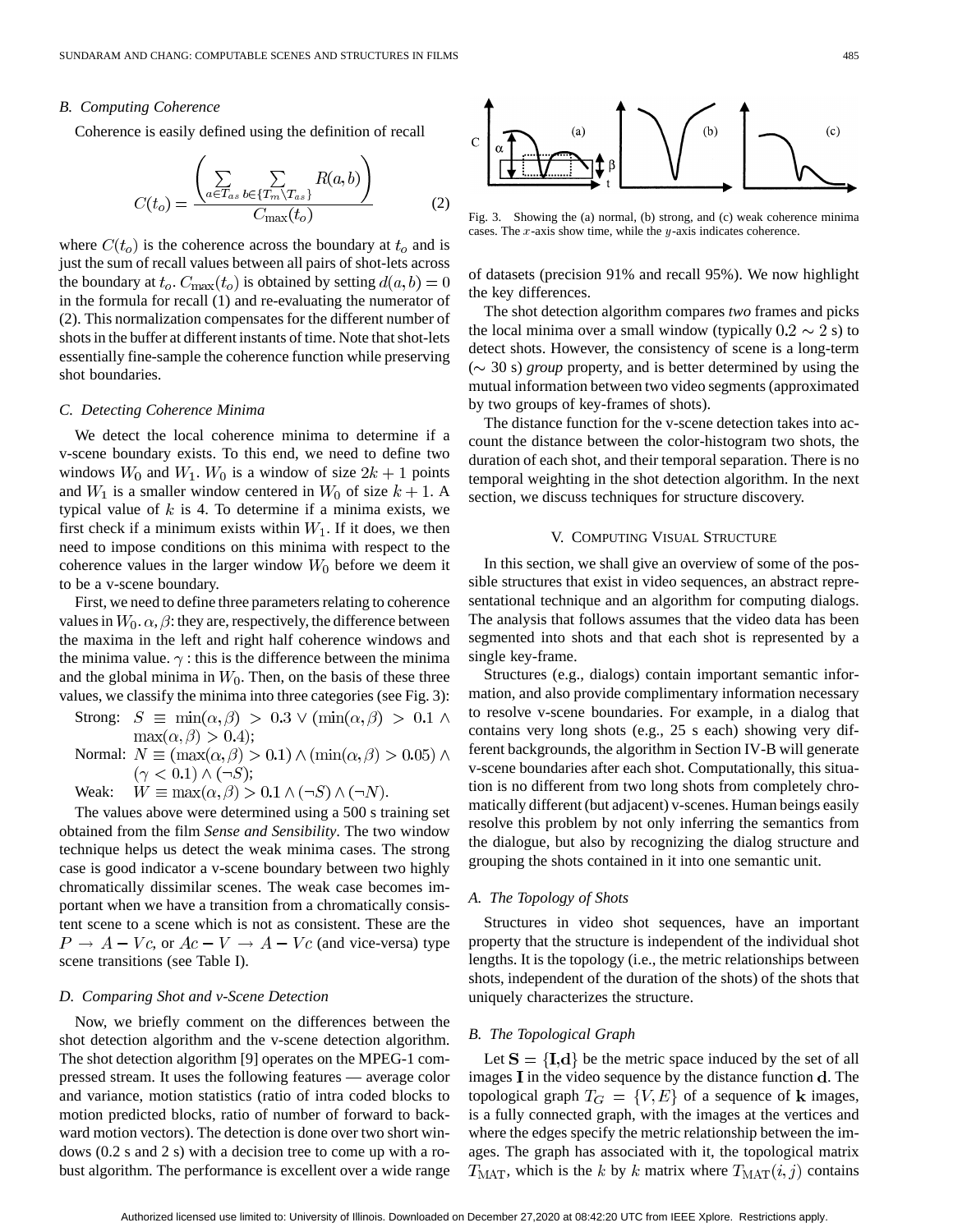#### *B. Computing Coherence*

Coherence is easily defined using the definition of recall

$$
C(t_o) = \frac{\left(\sum_{a \in T_{as}} \sum_{b \in \{T_m \setminus T_{as}\}} R(a, b)\right)}{C_{\max}(t_o)}
$$
(2)

where  $C(t_o)$  is the coherence across the boundary at  $t_o$  and is just the sum of recall values between all pairs of shot-lets across the boundary at  $t_o$ .  $C_{\text{max}}(t_o)$  is obtained by setting  $d(a, b) = 0$ in the formula for recall (1) and re-evaluating the numerator of (2). This normalization compensates for the different number of shots in the buffer at different instants of time. Note that shot-lets essentially fine-sample the coherence function while preserving shot boundaries.

## *C. Detecting Coherence Minima*

We detect the local coherence minima to determine if a v-scene boundary exists. To this end, we need to define two windows  $W_0$  and  $W_1$ .  $W_0$  is a window of size  $2k + 1$  points and  $W_1$  is a smaller window centered in  $W_0$  of size  $k + 1$ . A typical value of  $k$  is 4. To determine if a minima exists, we first check if a minimum exists within  $W_1$ . If it does, we then need to impose conditions on this minima with respect to the coherence values in the larger window  $W_0$  before we deem it to be a v-scene boundary.

First, we need to define three parameters relating to coherence values in  $W_0$ .  $\alpha$ ,  $\beta$ : they are, respectively, the difference between the maxima in the left and right half coherence windows and the minima value.  $\gamma$ : this is the difference between the minima and the global minima in  $W_0$ . Then, on the basis of these three values, we classify the minima into three categories (see Fig. 3):

Strong: 
$$
S \equiv \min(\alpha, \beta) > 0.3 \vee (\min(\alpha, \beta) > 0.1 \wedge \max(\alpha, \beta) > 0.4);
$$

Normal:  $N \equiv (\max(\alpha, \beta) > 0.1) \wedge (\min(\alpha, \beta) > 0.05) \wedge$  $(\gamma < 0.1) \wedge (\neg S);$ 

Weak:  $W \equiv \max(\alpha, \beta) > 0.1 \land (\neg S) \land (\neg N)$ .

The values above were determined using a 500 s training set obtained from the film *Sense and Sensibility*. The two window technique helps us detect the weak minima cases. The strong case is good indicator a v-scene boundary between two highly chromatically dissimilar scenes. The weak case becomes important when we have a transition from a chromatically consistent scene to a scene which is not as consistent. These are the  $P \rightarrow A - Vc$ , or  $Ac - V \rightarrow A - Vc$  (and vice-versa) type scene transitions (see Table I).

## *D. Comparing Shot and v-Scene Detection*

Now, we briefly comment on the differences between the shot detection algorithm and the v-scene detection algorithm. The shot detection algorithm [9] operates on the MPEG-1 compressed stream. It uses the following features — average color and variance, motion statistics (ratio of intra coded blocks to motion predicted blocks, ratio of number of forward to backward motion vectors). The detection is done over two short windows (0.2 s and 2 s) with a decision tree to come up with a robust algorithm. The performance is excellent over a wide range



Fig. 3. Showing the (a) normal, (b) strong, and (c) weak coherence minima cases. The  $x$ -axis show time, while the  $y$ -axis indicates coherence.

of datasets (precision 91% and recall 95%). We now highlight the key differences.

The shot detection algorithm compares *two* frames and picks the local minima over a small window (typically  $0.2 \sim 2$  s) to detect shots. However, the consistency of scene is a long-term  $({\sim} 30 \text{ s})$  *group* property, and is better determined by using the mutual information between two video segments (approximated by two groups of key-frames of shots).

The distance function for the v-scene detection takes into account the distance between the color-histogram two shots, the duration of each shot, and their temporal separation. There is no temporal weighting in the shot detection algorithm. In the next section, we discuss techniques for structure discovery.

## V. COMPUTING VISUAL STRUCTURE

In this section, we shall give an overview of some of the possible structures that exist in video sequences, an abstract representational technique and an algorithm for computing dialogs. The analysis that follows assumes that the video data has been segmented into shots and that each shot is represented by a single key-frame.

Structures (e.g., dialogs) contain important semantic information, and also provide complimentary information necessary to resolve v-scene boundaries. For example, in a dialog that contains very long shots (e.g., 25 s each) showing very different backgrounds, the algorithm in Section IV-B will generate v-scene boundaries after each shot. Computationally, this situation is no different from two long shots from completely chromatically different (but adjacent) v-scenes. Human beings easily resolve this problem by not only inferring the semantics from the dialogue, but also by recognizing the dialog structure and grouping the shots contained in it into one semantic unit.

## *A. The Topology of Shots*

Structures in video shot sequences, have an important property that the structure is independent of the individual shot lengths. It is the topology (i.e., the metric relationships between shots, independent of the duration of the shots) of the shots that uniquely characterizes the structure.

## *B. The Topological Graph*

Let  $S = \{I, d\}$  be the metric space induced by the set of all images  $I$  in the video sequence by the distance function  $d$ . The topological graph  $T_G = \{V, E\}$  of a sequence of **k** images, is a fully connected graph, with the images at the vertices and where the edges specify the metric relationship between the images. The graph has associated with it, the topological matrix  $T_{\text{MAT}}$ , which is the k by k matrix where  $T_{\text{MAT}}(i,j)$  contains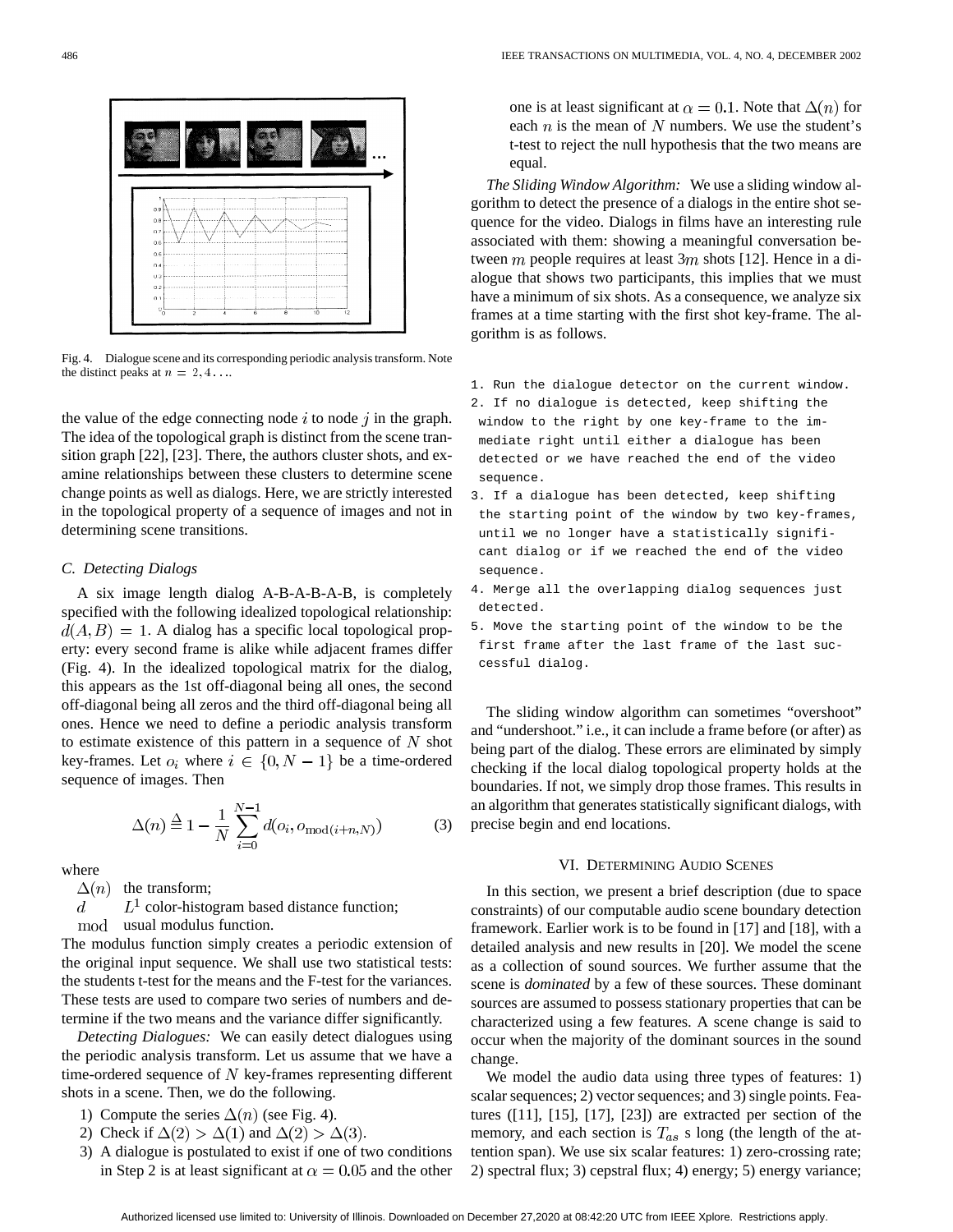

Fig. 4. Dialogue scene and its corresponding periodic analysis transform. Note the distinct peaks at  $n = 2, 4...$ 

the value of the edge connecting node  $i$  to node  $j$  in the graph. The idea of the topological graph is distinct from the scene transition graph [22], [23]. There, the authors cluster shots, and examine relationships between these clusters to determine scene change points as well as dialogs. Here, we are strictly interested in the topological property of a sequence of images and not in determining scene transitions.

## *C. Detecting Dialogs*

A six image length dialog A-B-A-B-A-B, is completely specified with the following idealized topological relationship:  $d(A, B) = 1$ . A dialog has a specific local topological property: every second frame is alike while adjacent frames differ (Fig. 4). In the idealized topological matrix for the dialog, this appears as the 1st off-diagonal being all ones, the second off-diagonal being all zeros and the third off-diagonal being all ones. Hence we need to define a periodic analysis transform to estimate existence of this pattern in a sequence of  $N$  shot key-frames. Let  $o_i$  where  $i \in \{0, N-1\}$  be a time-ordered sequence of images. Then

$$
\Delta(n) \stackrel{\Delta}{=} 1 - \frac{1}{N} \sum_{i=0}^{N-1} d(o_i, o_{\text{mod}(i+n,N)})
$$
(3)

where

 $\Delta(n)$  the transform;

 $L<sup>1</sup>$  color-histogram based distance function;  $\overline{d}$ mod usual modulus function.

The modulus function simply creates a periodic extension of the original input sequence. We shall use two statistical tests: the students t-test for the means and the F-test for the variances. These tests are used to compare two series of numbers and determine if the two means and the variance differ significantly.

*Detecting Dialogues:* We can easily detect dialogues using the periodic analysis transform. Let us assume that we have a time-ordered sequence of  $N$  key-frames representing different shots in a scene. Then, we do the following.

- 1) Compute the series  $\Delta(n)$  (see Fig. 4).
- 2) Check if  $\Delta(2) > \Delta(1)$  and  $\Delta(2) > \Delta(3)$ .
- 3) A dialogue is postulated to exist if one of two conditions in Step 2 is at least significant at  $\alpha = 0.05$  and the other

one is at least significant at  $\alpha = 0.1$ . Note that  $\Delta(n)$  for each  $n$  is the mean of  $N$  numbers. We use the student's t-test to reject the null hypothesis that the two means are equal.

*The Sliding Window Algorithm:* We use a sliding window algorithm to detect the presence of a dialogs in the entire shot sequence for the video. Dialogs in films have an interesting rule associated with them: showing a meaningful conversation between m people requires at least  $3m$  shots [12]. Hence in a dialogue that shows two participants, this implies that we must have a minimum of six shots. As a consequence, we analyze six frames at a time starting with the first shot key-frame. The algorithm is as follows.

- 1. Run the dialogue detector on the current window. 2. If no dialogue is detected, keep shifting the window to the right by one key-frame to the immediate right until either a dialogue has been detected or we have reached the end of the video sequence.
- 3. If a dialogue has been detected, keep shifting the starting point of the window by two key-frames, until we no longer have a statistically significant dialog or if we reached the end of the video sequence.
- 4. Merge all the overlapping dialog sequences just detected.
- 5. Move the starting point of the window to be the first frame after the last frame of the last successful dialog.

The sliding window algorithm can sometimes "overshoot" and "undershoot." i.e., it can include a frame before (or after) as being part of the dialog. These errors are eliminated by simply checking if the local dialog topological property holds at the boundaries. If not, we simply drop those frames. This results in an algorithm that generates statistically significant dialogs, with precise begin and end locations.

#### VI. DETERMINING AUDIO SCENES

In this section, we present a brief description (due to space constraints) of our computable audio scene boundary detection framework. Earlier work is to be found in [17] and [18], with a detailed analysis and new results in [20]. We model the scene as a collection of sound sources. We further assume that the scene is *dominated* by a few of these sources. These dominant sources are assumed to possess stationary properties that can be characterized using a few features. A scene change is said to occur when the majority of the dominant sources in the sound change.

We model the audio data using three types of features: 1) scalar sequences; 2) vector sequences; and 3) single points. Features ([11], [15], [17], [23]) are extracted per section of the memory, and each section is  $T_{as}$  s long (the length of the attention span). We use six scalar features: 1) zero-crossing rate; 2) spectral flux; 3) cepstral flux; 4) energy; 5) energy variance;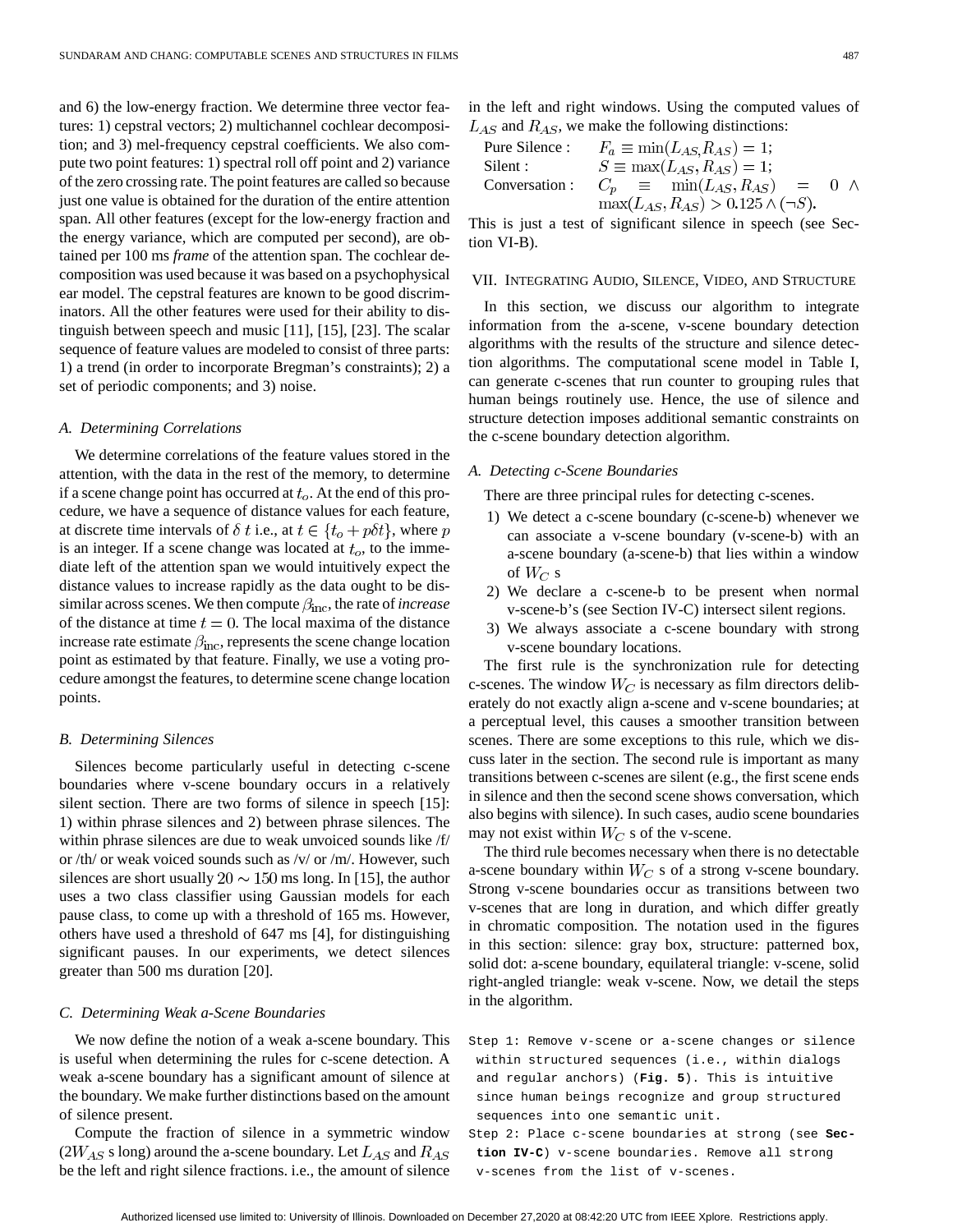and 6) the low-energy fraction. We determine three vector features: 1) cepstral vectors; 2) multichannel cochlear decomposition; and 3) mel-frequency cepstral coefficients. We also compute two point features: 1) spectral roll off point and 2) variance of the zero crossing rate. The point features are called so because just one value is obtained for the duration of the entire attention span. All other features (except for the low-energy fraction and the energy variance, which are computed per second), are obtained per 100 ms *frame* of the attention span. The cochlear decomposition was used because it was based on a psychophysical ear model. The cepstral features are known to be good discriminators. All the other features were used for their ability to distinguish between speech and music [11], [15], [23]. The scalar sequence of feature values are modeled to consist of three parts: 1) a trend (in order to incorporate Bregman's constraints); 2) a set of periodic components; and 3) noise.

## *A. Determining Correlations*

We determine correlations of the feature values stored in the attention, with the data in the rest of the memory, to determine if a scene change point has occurred at  $t<sub>o</sub>$ . At the end of this procedure, we have a sequence of distance values for each feature, at discrete time intervals of  $\delta t$  i.e., at  $t \in \{t_o + p\delta t\}$ , where p is an integer. If a scene change was located at  $t<sub>o</sub>$ , to the immediate left of the attention span we would intuitively expect the distance values to increase rapidly as the data ought to be dissimilar across scenes. We then compute  $\beta_{\text{inc}}$ , the rate of *increase* of the distance at time  $t = 0$ . The local maxima of the distance increase rate estimate  $\beta_{\text{inc}}$ , represents the scene change location point as estimated by that feature. Finally, we use a voting procedure amongst the features, to determine scene change location points.

## *B. Determining Silences*

Silences become particularly useful in detecting c-scene boundaries where v-scene boundary occurs in a relatively silent section. There are two forms of silence in speech [15]: 1) within phrase silences and 2) between phrase silences. The within phrase silences are due to weak unvoiced sounds like /f/ or /th/ or weak voiced sounds such as /v/ or /m/. However, such silences are short usually  $20 \sim 150$  ms long. In [15], the author uses a two class classifier using Gaussian models for each pause class, to come up with a threshold of 165 ms. However, others have used a threshold of 647 ms [4], for distinguishing significant pauses. In our experiments, we detect silences greater than 500 ms duration [20].

#### *C. Determining Weak a-Scene Boundaries*

We now define the notion of a weak a-scene boundary. This is useful when determining the rules for c-scene detection. A weak a-scene boundary has a significant amount of silence at the boundary. We make further distinctions based on the amount of silence present.

Compute the fraction of silence in a symmetric window  $(2W_{AS}$  s long) around the a-scene boundary. Let  $L_{AS}$  and  $R_{AS}$ be the left and right silence fractions. i.e., the amount of silence in the left and right windows. Using the computed values of  $L_{AS}$  and  $R_{AS}$ , we make the following distinctions:

Pure Silence: 
$$
F_a \equiv \min(L_{AS}, R_{AS}) = 1;
$$

\nSilent:  $S \equiv \max(L_{AS}, R_{AS}) = 1;$ 

\nConversion:  $C_p \equiv \min(L_{AS}, R_{AS}) = 0 \land \max(L_{AS}, R_{AS}) > 0.125 \land (\neg S).$ 

This is just a test of significant silence in speech (see Section VI-B).

## VII. INTEGRATING AUDIO, SILENCE, VIDEO, AND STRUCTURE

In this section, we discuss our algorithm to integrate information from the a-scene, v-scene boundary detection algorithms with the results of the structure and silence detection algorithms. The computational scene model in Table I, can generate c-scenes that run counter to grouping rules that human beings routinely use. Hence, the use of silence and structure detection imposes additional semantic constraints on the c-scene boundary detection algorithm.

## *A. Detecting c-Scene Boundaries*

There are three principal rules for detecting c-scenes.

- 1) We detect a c-scene boundary (c-scene-b) whenever we can associate a v-scene boundary (v-scene-b) with an a-scene boundary (a-scene-b) that lies within a window of  $W_C$  s
- 2) We declare a c-scene-b to be present when normal v-scene-b's (see Section IV-C) intersect silent regions.
- 3) We always associate a c-scene boundary with strong v-scene boundary locations.

The first rule is the synchronization rule for detecting c-scenes. The window  $W_C$  is necessary as film directors deliberately do not exactly align a-scene and v-scene boundaries; at a perceptual level, this causes a smoother transition between scenes. There are some exceptions to this rule, which we discuss later in the section. The second rule is important as many transitions between c-scenes are silent (e.g., the first scene ends in silence and then the second scene shows conversation, which also begins with silence). In such cases, audio scene boundaries may not exist within  $W_C$  s of the v-scene.

The third rule becomes necessary when there is no detectable a-scene boundary within  $W_C$  s of a strong v-scene boundary. Strong v-scene boundaries occur as transitions between two v-scenes that are long in duration, and which differ greatly in chromatic composition. The notation used in the figures in this section: silence: gray box, structure: patterned box, solid dot: a-scene boundary, equilateral triangle: v-scene, solid right-angled triangle: weak v-scene. Now, we detail the steps in the algorithm.

- Step 1: Remove v-scene or a-scene changes or silence within structured sequences (i.e., within dialogs and regular anchors) (**Fig. 5**). This is intuitive since human beings recognize and group structured sequences into one semantic unit.
- Step 2: Place c-scene boundaries at strong (see **Section IV-C**) v-scene boundaries. Remove all strong v-scenes from the list of v-scenes.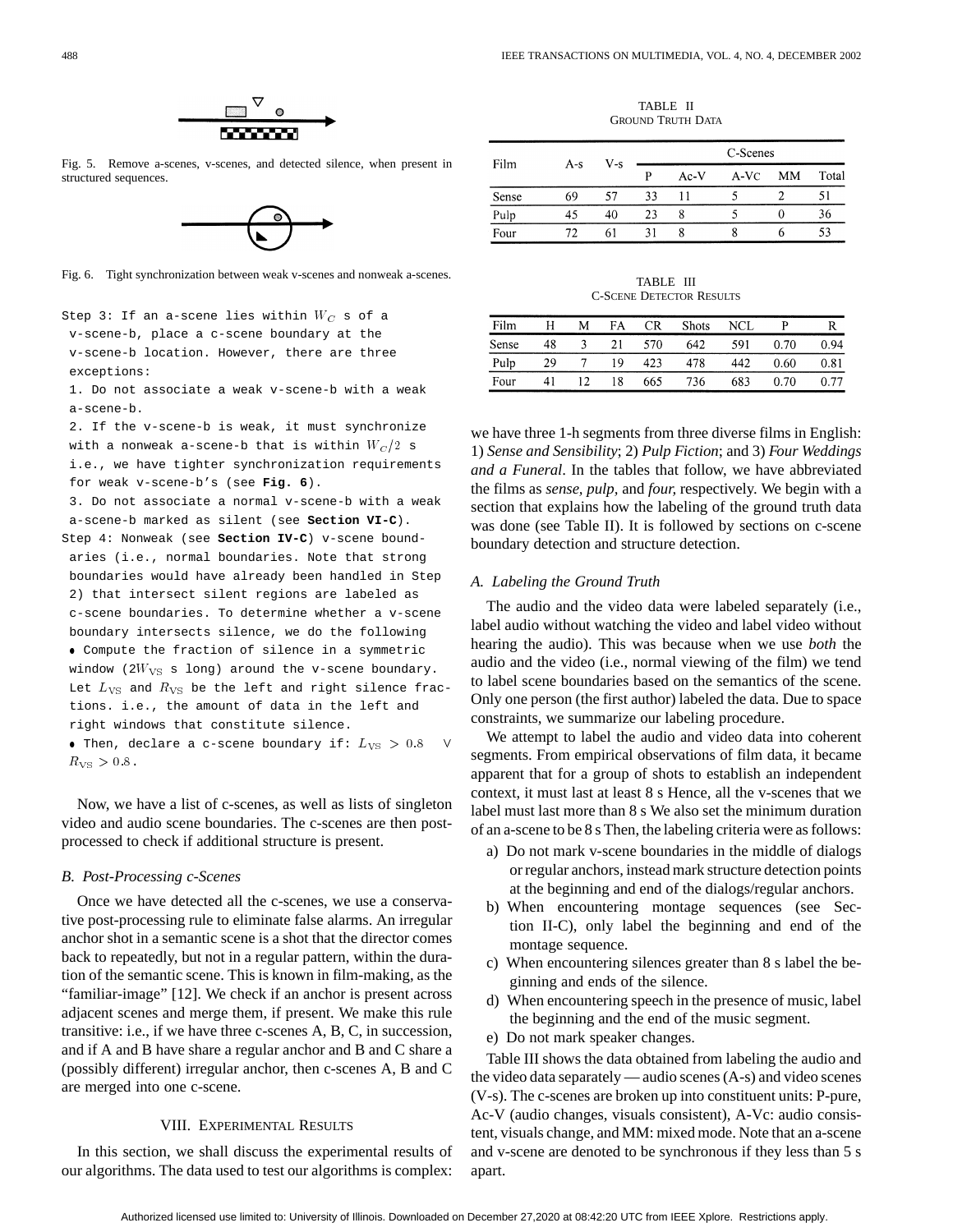

Fig. 5. Remove a-scenes, v-scenes, and detected silence, when present in structured sequences.



Fig. 6. Tight synchronization between weak v-scenes and nonweak a-scenes.

Step 3: If an a-scene lies within  $W_C$  s of a v-scene-b, place a c-scene boundary at the v-scene-b location. However, there are three exceptions:

1. Do not associate a weak v-scene-b with a weak a-scene-b.

2. If the v-scene-b is weak, it must synchronize with a nonweak a-scene-b that is within  $W_C/2$  s i.e., we have tighter synchronization requirements for weak v-scene-b's (see **Fig. 6**).

3. Do not associate a normal v-scene-b with a weak a-scene-b marked as silent (see **Section VI-C**). Step 4: Nonweak (see **Section IV-C**) v-scene boundaries (i.e., normal boundaries. Note that strong boundaries would have already been handled in Step 2) that intersect silent regions are labeled as c-scene boundaries. To determine whether a v-scene boundary intersects silence, we do the following Compute the fraction of silence in a symmetric window (2 $W_{\rm VS}$  s long) around the v-scene boundary. Let  $L_{\rm VS}$  and  $R_{\rm VS}$  be the left and right silence fractions. i.e., the amount of data in the left and right windows that constitute silence.

• Then, declare a c-scene boundary if:  $L_{\rm VS}$  > 0.8  $R_{\rm VS} > 0.8$ .

Now, we have a list of c-scenes, as well as lists of singleton video and audio scene boundaries. The c-scenes are then postprocessed to check if additional structure is present.

## *B. Post-Processing c-Scenes*

Once we have detected all the c-scenes, we use a conservative post-processing rule to eliminate false alarms. An irregular anchor shot in a semantic scene is a shot that the director comes back to repeatedly, but not in a regular pattern, within the duration of the semantic scene. This is known in film-making, as the "familiar-image" [12]. We check if an anchor is present across adjacent scenes and merge them, if present. We make this rule transitive: i.e., if we have three c-scenes A, B, C, in succession, and if A and B have share a regular anchor and B and C share a (possibly different) irregular anchor, then c-scenes A, B and C are merged into one c-scene.

## VIII. EXPERIMENTAL RESULTS

In this section, we shall discuss the experimental results of our algorithms. The data used to test our algorithms is complex:

TABLE II GROUND TRUTH DATA

| Film  |     | V-s | C-Scenes |        |      |    |       |  |
|-------|-----|-----|----------|--------|------|----|-------|--|
|       | A-s |     | P        | $Ac-V$ | A-VC | MМ | Total |  |
| Sense | 69  | 57  | 33       |        |      |    | 51    |  |
| Pulp  | 45  | 40  | 23       | 8      |      |    | 36    |  |
| Four  | 72  |     | 31       | 8      |      |    | 53    |  |

TABLE III C-SCENE DETECTOR RESULTS

| Film  |    | M | FA | CR  | Shots | <b>NCL</b> |      |      |
|-------|----|---|----|-----|-------|------------|------|------|
| Sense | 48 |   | 21 | 570 | 642   | 591        | 0.70 | 0.94 |
| Pulp  | 29 |   | 19 | 423 | 478   | 442        | 0.60 | 0.81 |
| Four  |    |   |    | 665 | 736   | 683        | 0.70 |      |

we have three 1-h segments from three diverse films in English: 1) *Sense and Sensibility*; 2) *Pulp Fiction*; and 3) *Four Weddings and a Funeral*. In the tables that follow, we have abbreviated the films as *sense, pulp,* and *four,* respectively. We begin with a section that explains how the labeling of the ground truth data was done (see Table II). It is followed by sections on c-scene boundary detection and structure detection.

#### *A. Labeling the Ground Truth*

The audio and the video data were labeled separately (i.e., label audio without watching the video and label video without hearing the audio). This was because when we use *both* the audio and the video (i.e., normal viewing of the film) we tend to label scene boundaries based on the semantics of the scene. Only one person (the first author) labeled the data. Due to space constraints, we summarize our labeling procedure.

We attempt to label the audio and video data into coherent segments. From empirical observations of film data, it became apparent that for a group of shots to establish an independent context, it must last at least 8 s Hence, all the v-scenes that we label must last more than 8 s We also set the minimum duration of an a-scene to be 8 s Then, the labeling criteria were as follows:

- a) Do not mark v-scene boundaries in the middle of dialogs or regular anchors, instead mark structure detection points at the beginning and end of the dialogs/regular anchors.
- b) When encountering montage sequences (see Section II-C), only label the beginning and end of the montage sequence.
- c) When encountering silences greater than 8 s label the beginning and ends of the silence.
- d) When encountering speech in the presence of music, label the beginning and the end of the music segment.
- e) Do not mark speaker changes.

Table III shows the data obtained from labeling the audio and the video data separately — audio scenes (A-s) and video scenes (V-s). The c-scenes are broken up into constituent units: P-pure, Ac-V (audio changes, visuals consistent), A-Vc: audio consistent, visuals change, and MM: mixed mode. Note that an a-scene and v-scene are denoted to be synchronous if they less than 5 s apart.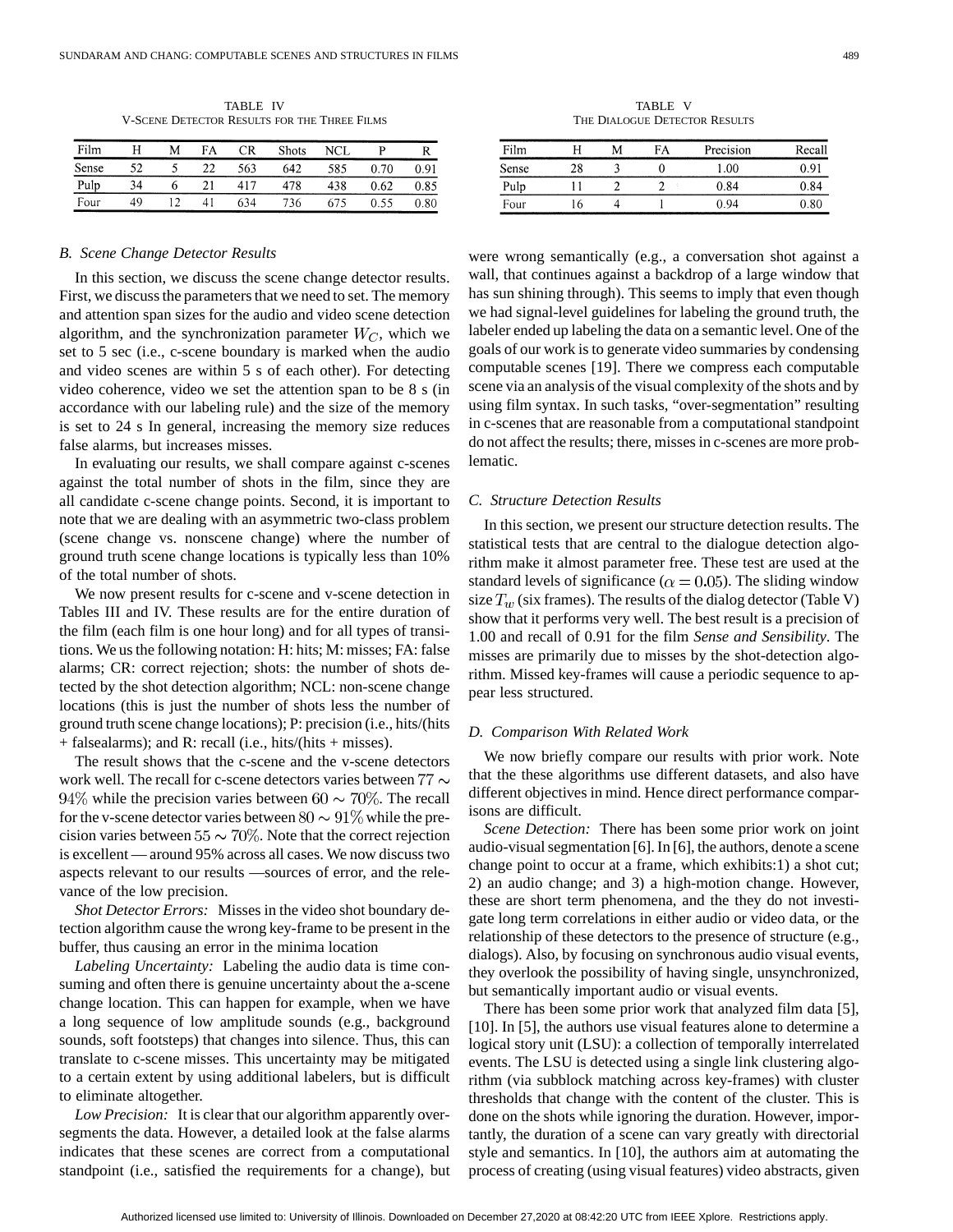TABLE IV V-SCENE DETECTOR RESULTS FOR THE THREE FILMS

| Film  |  | FA | CR  | Shots | <b>NCL</b> |      |      |
|-------|--|----|-----|-------|------------|------|------|
| Sense |  | 22 | 563 | 642   | 585        | 0.70 | 0.91 |
| Pulp  |  |    |     | 478   | 438        | 0.62 | 0.85 |
| Four  |  |    | 634 | 736   |            | .55  | 0.80 |

## *B. Scene Change Detector Results*

In this section, we discuss the scene change detector results. First, we discuss the parameters that we need to set. The memory and attention span sizes for the audio and video scene detection algorithm, and the synchronization parameter  $W_C$ , which we set to 5 sec (i.e., c-scene boundary is marked when the audio and video scenes are within 5 s of each other). For detecting video coherence, video we set the attention span to be 8 s (in accordance with our labeling rule) and the size of the memory is set to 24 s In general, increasing the memory size reduces false alarms, but increases misses.

In evaluating our results, we shall compare against c-scenes against the total number of shots in the film, since they are all candidate c-scene change points. Second, it is important to note that we are dealing with an asymmetric two-class problem (scene change vs. nonscene change) where the number of ground truth scene change locations is typically less than 10% of the total number of shots.

We now present results for c-scene and v-scene detection in Tables III and IV. These results are for the entire duration of the film (each film is one hour long) and for all types of transitions. We us the following notation: H: hits; M: misses; FA: false alarms; CR: correct rejection; shots: the number of shots detected by the shot detection algorithm; NCL: non-scene change locations (this is just the number of shots less the number of ground truth scene change locations); P: precision (i.e., hits/(hits + falsealarms); and R: recall (i.e., hits/(hits + misses).

The result shows that the c-scene and the v-scene detectors work well. The recall for c-scene detectors varies between  $77 \sim$  $94\%$  while the precision varies between  $60 \sim 70\%$ . The recall for the v-scene detector varies between  $80 \sim 91\%$  while the precision varies between  $55 \sim 70\%$ . Note that the correct rejection is excellent — around 95% across all cases. We now discuss two aspects relevant to our results —sources of error, and the relevance of the low precision.

*Shot Detector Errors:* Misses in the video shot boundary detection algorithm cause the wrong key-frame to be present in the buffer, thus causing an error in the minima location

*Labeling Uncertainty:* Labeling the audio data is time consuming and often there is genuine uncertainty about the a-scene change location. This can happen for example, when we have a long sequence of low amplitude sounds (e.g., background sounds, soft footsteps) that changes into silence. Thus, this can translate to c-scene misses. This uncertainty may be mitigated to a certain extent by using additional labelers, but is difficult to eliminate altogether.

*Low Precision:* It is clear that our algorithm apparently oversegments the data. However, a detailed look at the false alarms indicates that these scenes are correct from a computational standpoint (i.e., satisfied the requirements for a change), but

TABLE V THE DIALOGUE DETECTOR RESULTS

| Film  |    | FA | Precision | Recall |
|-------|----|----|-----------|--------|
| Sense | 28 |    | .00       | 0 o.   |
| Pulp  |    |    | 0.84      | 0.84   |
| Four  |    |    | 0.94      | 0.80   |

were wrong semantically (e.g., a conversation shot against a wall, that continues against a backdrop of a large window that has sun shining through). This seems to imply that even though we had signal-level guidelines for labeling the ground truth, the labeler ended up labeling the data on a semantic level. One of the goals of our work is to generate video summaries by condensing computable scenes [19]. There we compress each computable scene via an analysis of the visual complexity of the shots and by using film syntax. In such tasks, "over-segmentation" resulting in c-scenes that are reasonable from a computational standpoint do not affect the results; there, misses in c-scenes are more problematic.

#### *C. Structure Detection Results*

In this section, we present our structure detection results. The statistical tests that are central to the dialogue detection algorithm make it almost parameter free. These test are used at the standard levels of significance ( $\alpha = 0.05$ ). The sliding window size  $T_w$  (six frames). The results of the dialog detector (Table V) show that it performs very well. The best result is a precision of 1.00 and recall of 0.91 for the film *Sense and Sensibility*. The misses are primarily due to misses by the shot-detection algorithm. Missed key-frames will cause a periodic sequence to appear less structured.

### *D. Comparison With Related Work*

We now briefly compare our results with prior work. Note that the these algorithms use different datasets, and also have different objectives in mind. Hence direct performance comparisons are difficult.

*Scene Detection:* There has been some prior work on joint audio-visual segmentation [6]. In [6], the authors, denote a scene change point to occur at a frame, which exhibits:1) a shot cut; 2) an audio change; and 3) a high-motion change. However, these are short term phenomena, and the they do not investigate long term correlations in either audio or video data, or the relationship of these detectors to the presence of structure (e.g., dialogs). Also, by focusing on synchronous audio visual events, they overlook the possibility of having single, unsynchronized, but semantically important audio or visual events.

There has been some prior work that analyzed film data [5], [10]. In [5], the authors use visual features alone to determine a logical story unit (LSU): a collection of temporally interrelated events. The LSU is detected using a single link clustering algorithm (via subblock matching across key-frames) with cluster thresholds that change with the content of the cluster. This is done on the shots while ignoring the duration. However, importantly, the duration of a scene can vary greatly with directorial style and semantics. In [10], the authors aim at automating the process of creating (using visual features) video abstracts, given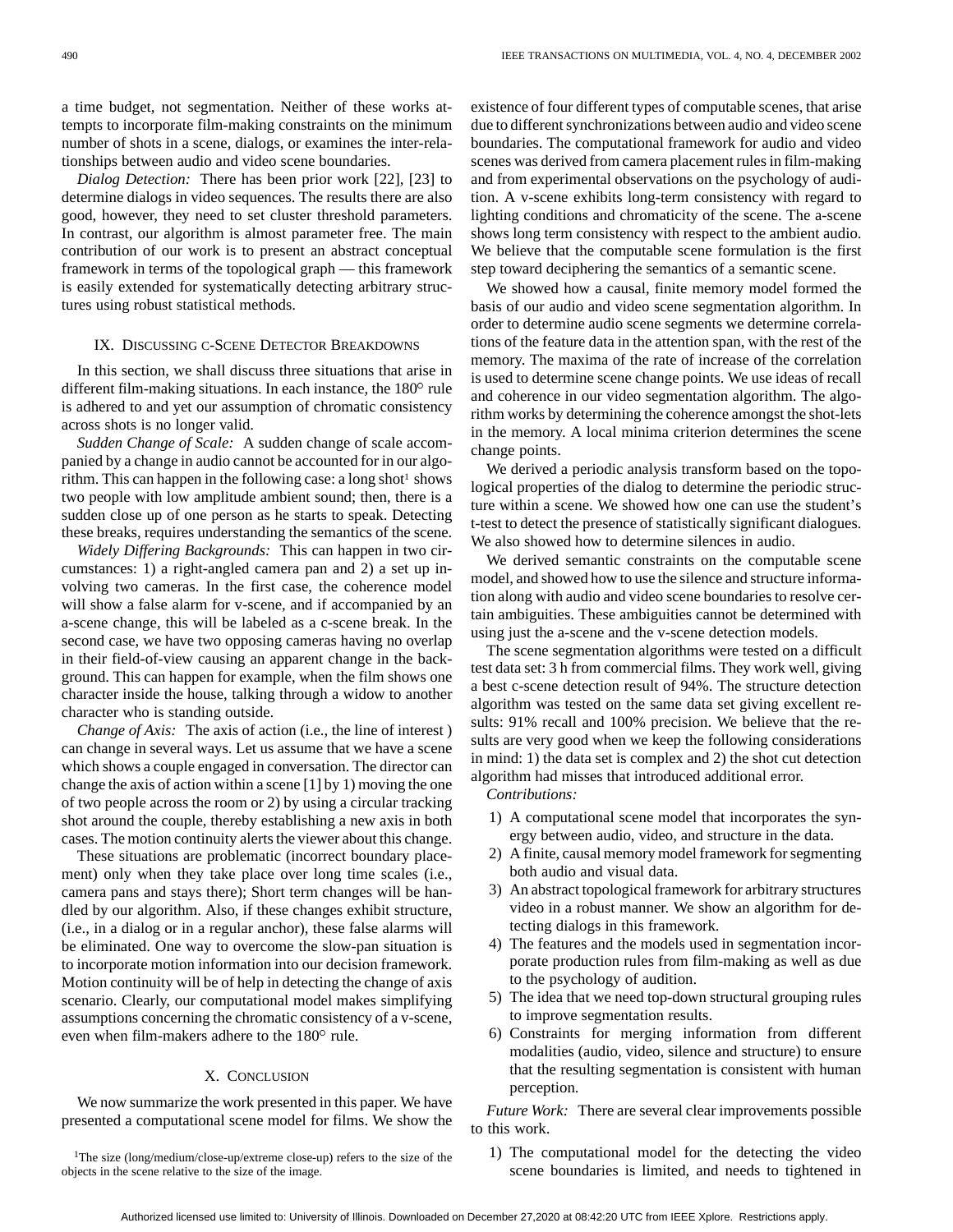a time budget, not segmentation. Neither of these works attempts to incorporate film-making constraints on the minimum number of shots in a scene, dialogs, or examines the inter-relationships between audio and video scene boundaries.

*Dialog Detection:* There has been prior work [22], [23] to determine dialogs in video sequences. The results there are also good, however, they need to set cluster threshold parameters. In contrast, our algorithm is almost parameter free. The main contribution of our work is to present an abstract conceptual framework in terms of the topological graph — this framework is easily extended for systematically detecting arbitrary structures using robust statistical methods.

## IX. DISCUSSING C-SCENE DETECTOR BREAKDOWNS

In this section, we shall discuss three situations that arise in different film-making situations. In each instance, the  $180^{\circ}$  rule is adhered to and yet our assumption of chromatic consistency across shots is no longer valid.

*Sudden Change of Scale:* A sudden change of scale accompanied by a change in audio cannot be accounted for in our algorithm. This can happen in the following case: a long shot<sup>1</sup> shows two people with low amplitude ambient sound; then, there is a sudden close up of one person as he starts to speak. Detecting these breaks, requires understanding the semantics of the scene.

*Widely Differing Backgrounds:* This can happen in two circumstances: 1) a right-angled camera pan and 2) a set up involving two cameras. In the first case, the coherence model will show a false alarm for v-scene, and if accompanied by an a-scene change, this will be labeled as a c-scene break. In the second case, we have two opposing cameras having no overlap in their field-of-view causing an apparent change in the background. This can happen for example, when the film shows one character inside the house, talking through a widow to another character who is standing outside.

*Change of Axis:* The axis of action (i.e., the line of interest ) can change in several ways. Let us assume that we have a scene which shows a couple engaged in conversation. The director can change the axis of action within a scene [1] by 1) moving the one of two people across the room or 2) by using a circular tracking shot around the couple, thereby establishing a new axis in both cases. The motion continuity alerts the viewer about this change.

These situations are problematic (incorrect boundary placement) only when they take place over long time scales (i.e., camera pans and stays there); Short term changes will be handled by our algorithm. Also, if these changes exhibit structure, (i.e., in a dialog or in a regular anchor), these false alarms will be eliminated. One way to overcome the slow-pan situation is to incorporate motion information into our decision framework. Motion continuity will be of help in detecting the change of axis scenario. Clearly, our computational model makes simplifying assumptions concerning the chromatic consistency of a v-scene, even when film-makers adhere to the 180° rule.

## X. CONCLUSION

We now summarize the work presented in this paper. We have presented a computational scene model for films. We show the

1The size (long/medium/close-up/extreme close-up) refers to the size of the objects in the scene relative to the size of the image.

existence of four different types of computable scenes, that arise due to different synchronizations between audio and video scene boundaries. The computational framework for audio and video scenes was derived from camera placement rules in film-making and from experimental observations on the psychology of audition. A v-scene exhibits long-term consistency with regard to lighting conditions and chromaticity of the scene. The a-scene shows long term consistency with respect to the ambient audio. We believe that the computable scene formulation is the first step toward deciphering the semantics of a semantic scene.

We showed how a causal, finite memory model formed the basis of our audio and video scene segmentation algorithm. In order to determine audio scene segments we determine correlations of the feature data in the attention span, with the rest of the memory. The maxima of the rate of increase of the correlation is used to determine scene change points. We use ideas of recall and coherence in our video segmentation algorithm. The algorithm works by determining the coherence amongst the shot-lets in the memory. A local minima criterion determines the scene change points.

We derived a periodic analysis transform based on the topological properties of the dialog to determine the periodic structure within a scene. We showed how one can use the student's t-test to detect the presence of statistically significant dialogues. We also showed how to determine silences in audio.

We derived semantic constraints on the computable scene model, and showed how to use the silence and structure information along with audio and video scene boundaries to resolve certain ambiguities. These ambiguities cannot be determined with using just the a-scene and the v-scene detection models.

The scene segmentation algorithms were tested on a difficult test data set: 3 h from commercial films. They work well, giving a best c-scene detection result of 94%. The structure detection algorithm was tested on the same data set giving excellent results: 91% recall and 100% precision. We believe that the results are very good when we keep the following considerations in mind: 1) the data set is complex and 2) the shot cut detection algorithm had misses that introduced additional error.

*Contributions:*

- 1) A computational scene model that incorporates the synergy between audio, video, and structure in the data.
- 2) A finite, causal memory model framework for segmenting both audio and visual data.
- 3) An abstract topological framework for arbitrary structures video in a robust manner. We show an algorithm for detecting dialogs in this framework.
- 4) The features and the models used in segmentation incorporate production rules from film-making as well as due to the psychology of audition.
- 5) The idea that we need top-down structural grouping rules to improve segmentation results.
- 6) Constraints for merging information from different modalities (audio, video, silence and structure) to ensure that the resulting segmentation is consistent with human perception.

*Future Work:* There are several clear improvements possible to this work.

1) The computational model for the detecting the video scene boundaries is limited, and needs to tightened in